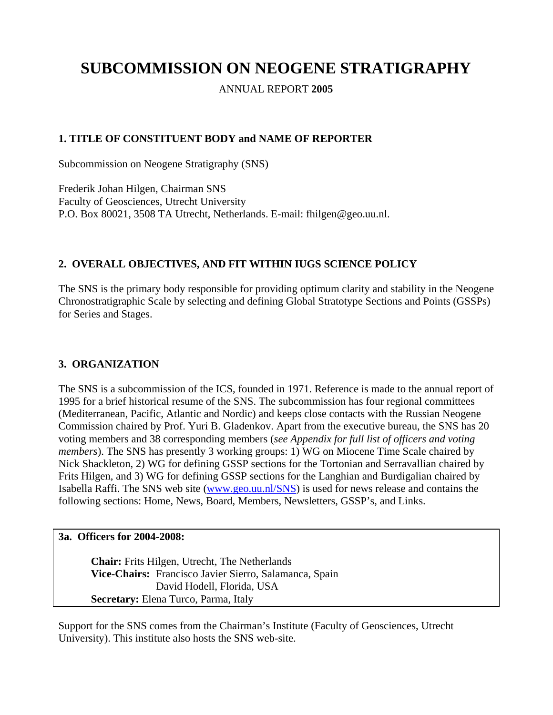# **SUBCOMMISSION ON NEOGENE STRATIGRAPHY**

ANNUAL REPORT **2005**

## **1. TITLE OF CONSTITUENT BODY and NAME OF REPORTER**

Subcommission on Neogene Stratigraphy (SNS)

Frederik Johan Hilgen, Chairman SNS Faculty of Geosciences, Utrecht University P.O. Box 80021, 3508 TA Utrecht, Netherlands. E-mail: fhilgen@geo.uu.nl.

## **2. OVERALL OBJECTIVES, AND FIT WITHIN IUGS SCIENCE POLICY**

The SNS is the primary body responsible for providing optimum clarity and stability in the Neogene Chronostratigraphic Scale by selecting and defining Global Stratotype Sections and Points (GSSPs) for Series and Stages.

## **3. ORGANIZATION**

The SNS is a subcommission of the ICS, founded in 1971. Reference is made to the annual report of 1995 for a brief historical resume of the SNS. The subcommission has four regional committees (Mediterranean, Pacific, Atlantic and Nordic) and keeps close contacts with the Russian Neogene Commission chaired by Prof. Yuri B. Gladenkov. Apart from the executive bureau, the SNS has 20 voting members and 38 corresponding members (*see Appendix for full list of officers and voting members*). The SNS has presently 3 working groups: 1) WG on Miocene Time Scale chaired by Nick Shackleton, 2) WG for defining GSSP sections for the Tortonian and Serravallian chaired by Frits Hilgen, and 3) WG for defining GSSP sections for the Langhian and Burdigalian chaired by Isabella Raffi. The SNS web site [\(www.geo.uu.nl/SNS](http://www.geo.uu.nl/SNS)) is used for news release and contains the following sections: Home, News, Board, Members, Newsletters, GSSP's, and Links.

#### **3a. Officers for 2004-2008:**

**Chair:** Frits Hilgen, Utrecht, The Netherlands **Vice-Chairs:** Francisco Javier Sierro, Salamanca, Spain David Hodell, Florida, USA **Secretary:** Elena Turco, Parma, Italy

Support for the SNS comes from the Chairman's Institute (Faculty of Geosciences, Utrecht University). This institute also hosts the SNS web-site.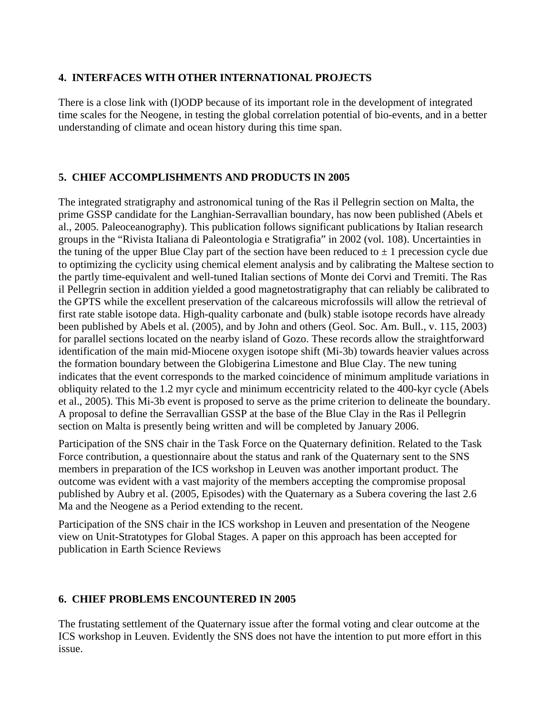### **4. INTERFACES WITH OTHER INTERNATIONAL PROJECTS**

There is a close link with (I)ODP because of its important role in the development of integrated time scales for the Neogene, in testing the global correlation potential of bio-events, and in a better understanding of climate and ocean history during this time span.

## **5. CHIEF ACCOMPLISHMENTS AND PRODUCTS IN 2005**

The integrated stratigraphy and astronomical tuning of the Ras il Pellegrin section on Malta, the prime GSSP candidate for the Langhian-Serravallian boundary, has now been published (Abels et al., 2005. Paleoceanography). This publication follows significant publications by Italian research groups in the "Rivista Italiana di Paleontologia e Stratigrafia" in 2002 (vol. 108). Uncertainties in the tuning of the upper Blue Clay part of the section have been reduced to  $\pm 1$  precession cycle due to optimizing the cyclicity using chemical element analysis and by calibrating the Maltese section to the partly time-equivalent and well-tuned Italian sections of Monte dei Corvi and Tremiti. The Ras il Pellegrin section in addition yielded a good magnetostratigraphy that can reliably be calibrated to the GPTS while the excellent preservation of the calcareous microfossils will allow the retrieval of first rate stable isotope data. High-quality carbonate and (bulk) stable isotope records have already been published by Abels et al. (2005), and by John and others (Geol. Soc. Am. Bull., v. 115, 2003) for parallel sections located on the nearby island of Gozo. These records allow the straightforward identification of the main mid-Miocene oxygen isotope shift (Mi-3b) towards heavier values across the formation boundary between the Globigerina Limestone and Blue Clay. The new tuning indicates that the event corresponds to the marked coincidence of minimum amplitude variations in obliquity related to the 1.2 myr cycle and minimum eccentricity related to the 400-kyr cycle (Abels et al., 2005). This Mi-3b event is proposed to serve as the prime criterion to delineate the boundary. A proposal to define the Serravallian GSSP at the base of the Blue Clay in the Ras il Pellegrin section on Malta is presently being written and will be completed by January 2006.

Participation of the SNS chair in the Task Force on the Quaternary definition. Related to the Task Force contribution, a questionnaire about the status and rank of the Quaternary sent to the SNS members in preparation of the ICS workshop in Leuven was another important product. The outcome was evident with a vast majority of the members accepting the compromise proposal published by Aubry et al. (2005, Episodes) with the Quaternary as a Subera covering the last 2.6 Ma and the Neogene as a Period extending to the recent.

Participation of the SNS chair in the ICS workshop in Leuven and presentation of the Neogene view on Unit-Stratotypes for Global Stages. A paper on this approach has been accepted for publication in Earth Science Reviews

## **6. CHIEF PROBLEMS ENCOUNTERED IN 2005**

The frustating settlement of the Quaternary issue after the formal voting and clear outcome at the ICS workshop in Leuven. Evidently the SNS does not have the intention to put more effort in this issue.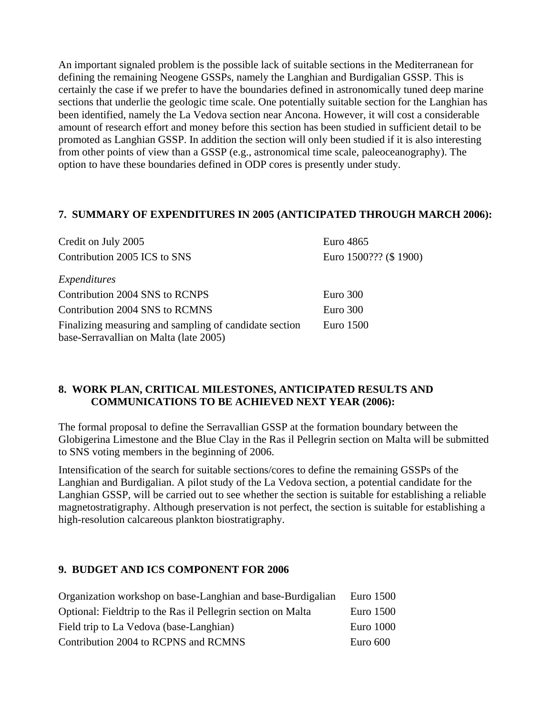An important signaled problem is the possible lack of suitable sections in the Mediterranean for defining the remaining Neogene GSSPs, namely the Langhian and Burdigalian GSSP. This is certainly the case if we prefer to have the boundaries defined in astronomically tuned deep marine sections that underlie the geologic time scale. One potentially suitable section for the Langhian has been identified, namely the La Vedova section near Ancona. However, it will cost a considerable amount of research effort and money before this section has been studied in sufficient detail to be promoted as Langhian GSSP. In addition the section will only been studied if it is also interesting from other points of view than a GSSP (e.g., astronomical time scale, paleoceanography). The option to have these boundaries defined in ODP cores is presently under study.

### **7. SUMMARY OF EXPENDITURES IN 2005 (ANTICIPATED THROUGH MARCH 2006):**

| Credit on July 2005                                                                              | Euro 4865              |
|--------------------------------------------------------------------------------------------------|------------------------|
| Contribution 2005 ICS to SNS                                                                     | Euro 1500??? (\$ 1900) |
| Expenditures                                                                                     |                        |
| Contribution 2004 SNS to RCNPS                                                                   | Euro 300               |
| Contribution 2004 SNS to RCMNS                                                                   | Euro 300               |
| Finalizing measuring and sampling of candidate section<br>base-Serravallian on Malta (late 2005) | Euro 1500              |

## **8. WORK PLAN, CRITICAL MILESTONES, ANTICIPATED RESULTS AND COMMUNICATIONS TO BE ACHIEVED NEXT YEAR (2006):**

The formal proposal to define the Serravallian GSSP at the formation boundary between the Globigerina Limestone and the Blue Clay in the Ras il Pellegrin section on Malta will be submitted to SNS voting members in the beginning of 2006.

Intensification of the search for suitable sections/cores to define the remaining GSSPs of the Langhian and Burdigalian. A pilot study of the La Vedova section, a potential candidate for the Langhian GSSP, will be carried out to see whether the section is suitable for establishing a reliable magnetostratigraphy. Although preservation is not perfect, the section is suitable for establishing a high-resolution calcareous plankton biostratigraphy.

#### **9. BUDGET AND ICS COMPONENT FOR 2006**

| Organization workshop on base-Langhian and base-Burdigalian  | Euro 1500  |
|--------------------------------------------------------------|------------|
| Optional: Fieldtrip to the Ras il Pellegrin section on Malta | Euro 1500  |
| Field trip to La Vedova (base-Langhian)                      | Euro 1000  |
| Contribution 2004 to RCPNS and RCMNS                         | Euro $600$ |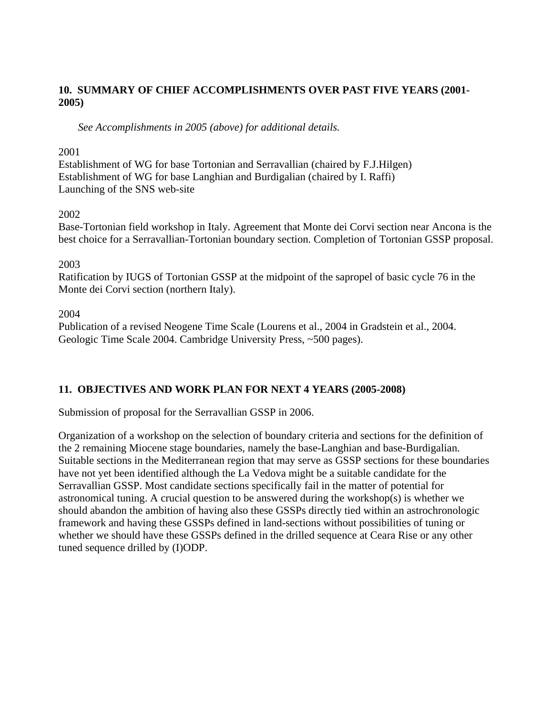## **10. SUMMARY OF CHIEF ACCOMPLISHMENTS OVER PAST FIVE YEARS (2001- 2005)**

 *See Accomplishments in 2005 (above) for additional details.* 

#### 2001

Establishment of WG for base Tortonian and Serravallian (chaired by F.J.Hilgen) Establishment of WG for base Langhian and Burdigalian (chaired by I. Raffi) Launching of the SNS web-site

#### 2002

Base-Tortonian field workshop in Italy. Agreement that Monte dei Corvi section near Ancona is the best choice for a Serravallian-Tortonian boundary section. Completion of Tortonian GSSP proposal.

#### 2003

Ratification by IUGS of Tortonian GSSP at the midpoint of the sapropel of basic cycle 76 in the Monte dei Corvi section (northern Italy).

#### 2004

Publication of a revised Neogene Time Scale (Lourens et al., 2004 in Gradstein et al., 2004. Geologic Time Scale 2004. Cambridge University Press, ~500 pages).

## **11. OBJECTIVES AND WORK PLAN FOR NEXT 4 YEARS (2005-2008)**

Submission of proposal for the Serravallian GSSP in 2006.

Organization of a workshop on the selection of boundary criteria and sections for the definition of the 2 remaining Miocene stage boundaries, namely the base-Langhian and base-Burdigalian. Suitable sections in the Mediterranean region that may serve as GSSP sections for these boundaries have not yet been identified although the La Vedova might be a suitable candidate for the Serravallian GSSP. Most candidate sections specifically fail in the matter of potential for astronomical tuning. A crucial question to be answered during the workshop(s) is whether we should abandon the ambition of having also these GSSPs directly tied within an astrochronologic framework and having these GSSPs defined in land-sections without possibilities of tuning or whether we should have these GSSPs defined in the drilled sequence at Ceara Rise or any other tuned sequence drilled by (I)ODP.